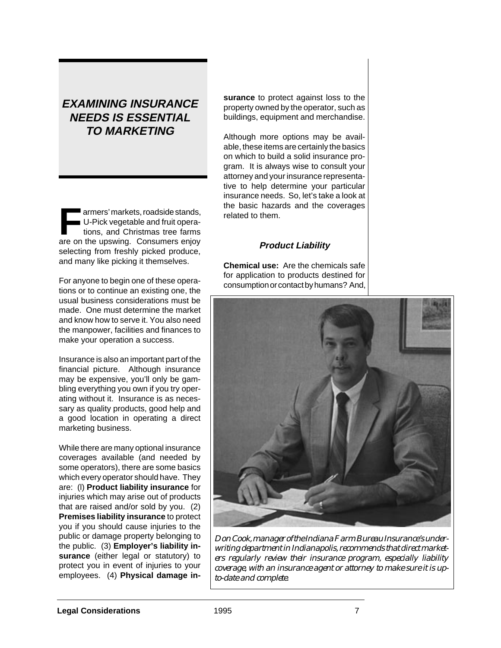# **EXAMINING INSURANCE NEEDS IS ESSENTIAL TO MARKETING**

**Farmers' markets, roadside stands,<br>
U-Pick vegetable and fruit operations, and Christmas tree farms** U-Pick vegetable and fruit operaare on the upswing. Consumers enjoy selecting from freshly picked produce, and many like picking it themselves.

For anyone to begin one of these operations or to continue an existing one, the usual business considerations must be made. One must determine the market and know how to serve it. You also need the manpower, facilities and finances to make your operation a success.

Insurance is also an important part of the financial picture. Although insurance may be expensive, you'll only be gambling everything you own if you try operating without it. Insurance is as necessary as quality products, good help and a good location in operating a direct marketing business.

While there are many optional insurance coverages available (and needed by some operators), there are some basics which every operator should have. They are: (l) **Product liability insurance** for injuries which may arise out of products that are raised and/or sold by you. (2) **Premises liability insurance** to protect you if you should cause injuries to the public or damage property belonging to the public. (3) **Employer's liability insurance** (either legal or statutory) to protect you in event of injuries to your employees. (4) **Physical damage in-** **surance** to protect against loss to the property owned by the operator, such as buildings, equipment and merchandise.

Although more options may be available, these items are certainly the basics on which to build a solid insurance program. It is always wise to consult your attorney and your insurance representative to help determine your particular insurance needs. So, let's take a look at the basic hazards and the coverages related to them.

# **Product Liability**

**Chemical use:** Are the chemicals safe for application to products destined for consumption or contact by humans? And,



*Don Cook, manager of the Indiana Farm Bureau Insurance's underwriting department in Indianapolis, recommends that direct marketers regularly review their insurance program, especially liability coverage, with an insurance agent or attorney to make sure it is upto-date and complete.*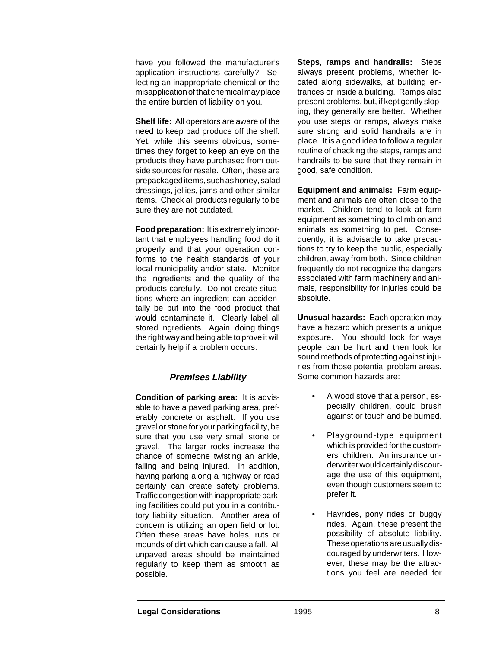have you followed the manufacturer's application instructions carefully? Selecting an inappropriate chemical or the misapplication of that chemical may place the entire burden of liability on you.

**Shelf life:** All operators are aware of the need to keep bad produce off the shelf. Yet, while this seems obvious, sometimes they forget to keep an eye on the products they have purchased from outside sources for resale. Often, these are prepackaged items, such as honey, salad dressings, jellies, jams and other similar items. Check all products regularly to be sure they are not outdated.

**Food preparation:** It is extremely important that employees handling food do it properly and that your operation conforms to the health standards of your local municipality and/or state. Monitor the ingredients and the quality of the products carefully. Do not create situations where an ingredient can accidentally be put into the food product that would contaminate it. Clearly label all stored ingredients. Again, doing things the right way and being able to prove it will certainly help if a problem occurs.

# **Premises Liability**

**Condition of parking area:** It is advisable to have a paved parking area, preferably concrete or asphalt. If you use gravel or stone for your parking facility, be sure that you use very small stone or gravel. The larger rocks increase the chance of someone twisting an ankle, falling and being injured. In addition, having parking along a highway or road certainly can create safety problems. Traffic congestion with inappropriate parking facilities could put you in a contributory liability situation. Another area of concern is utilizing an open field or lot. Often these areas have holes, ruts or mounds of dirt which can cause a fall. All unpaved areas should be maintained regularly to keep them as smooth as possible.

**Steps, ramps and handrails:** Steps always present problems, whether located along sidewalks, at building entrances or inside a building. Ramps also present problems, but, if kept gently sloping, they generally are better. Whether you use steps or ramps, always make sure strong and solid handrails are in place. It is a good idea to follow a regular routine of checking the steps, ramps and handrails to be sure that they remain in good, safe condition.

**Equipment and animals:** Farm equipment and animals are often close to the market. Children tend to look at farm equipment as something to climb on and animals as something to pet. Consequently, it is advisable to take precautions to try to keep the public, especially children, away from both. Since children frequently do not recognize the dangers associated with farm machinery and animals, responsibility for injuries could be absolute.

**Unusual hazards:** Each operation may have a hazard which presents a unique exposure. You should look for ways people can be hurt and then look for sound methods of protecting against injuries from those potential problem areas. Some common hazards are:

- A wood stove that a person, especially children, could brush against or touch and be burned.
- Playground-type equipment which is provided for the customers' children. An insurance underwriter would certainly discourage the use of this equipment, even though customers seem to prefer it.
- Hayrides, pony rides or buggy rides. Again, these present the possibility of absolute liability. These operations are usually discouraged by underwriters. However, these may be the attractions you feel are needed for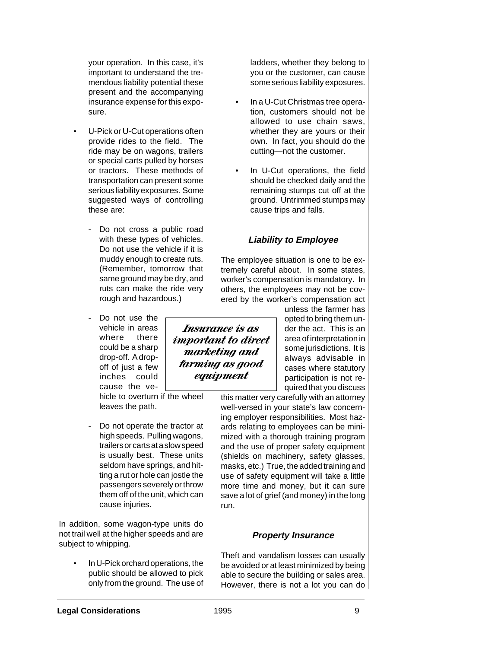your operation. In this case, it's important to understand the tremendous liability potential these present and the accompanying insurance expense for this exposure.

- U-Pick or U-Cut operations often provide rides to the field. The ride may be on wagons, trailers or special carts pulled by horses or tractors. These methods of transportation can present some serious liability exposures. Some suggested ways of controlling these are:
	- Do not cross a public road with these types of vehicles. Do not use the vehicle if it is muddy enough to create ruts. (Remember, tomorrow that same ground may be dry, and ruts can make the ride very rough and hazardous.)
	- Do not use the vehicle in areas where there could be a sharp drop-off. A dropoff of just a few inches could cause the ve-

hicle to overturn if the wheel leaves the path.

Do not operate the tractor at high speeds. Pulling wagons, trailers or carts at a slow speed is usually best. These units seldom have springs, and hitting a rut or hole can jostle the passengers severely or throw them off of the unit, which can cause injuries.

In addition, some wagon-type units do not trail well at the higher speeds and are subject to whipping.

• In U-Pick orchard operations, the public should be allowed to pick only from the ground. The use of

ladders, whether they belong to you or the customer, can cause some serious liability exposures.

- In a U-Cut Christmas tree operation, customers should not be allowed to use chain saws, whether they are yours or their own. In fact, you should do the cutting—not the customer.
- In U-Cut operations, the field should be checked daily and the remaining stumps cut off at the ground. Untrimmed stumps may cause trips and falls.

# **Liability to Employee**

The employee situation is one to be extremely careful about. In some states, worker's compensation is mandatory. In others, the employees may not be covered by the worker's compensation act

unless the farmer has opted to bring them under the act. This is an area of interpretation in some jurisdictions. It is always advisable in cases where statutory participation is not required that you discuss

this matter very carefully with an attorney well-versed in your state's law concerning employer responsibilities. Most hazards relating to employees can be minimized with a thorough training program and the use of proper safety equipment (shields on machinery, safety glasses, masks, etc.) True, the added training and use of safety equipment will take a little more time and money, but it can sure save a lot of grief (and money) in the long run.

### **Property Insurance**

Theft and vandalism losses can usually be avoided or at least minimized by being able to secure the building or sales area. However, there is not a lot you can do

*Insurance is as important to direct marketing and farming as good equipment*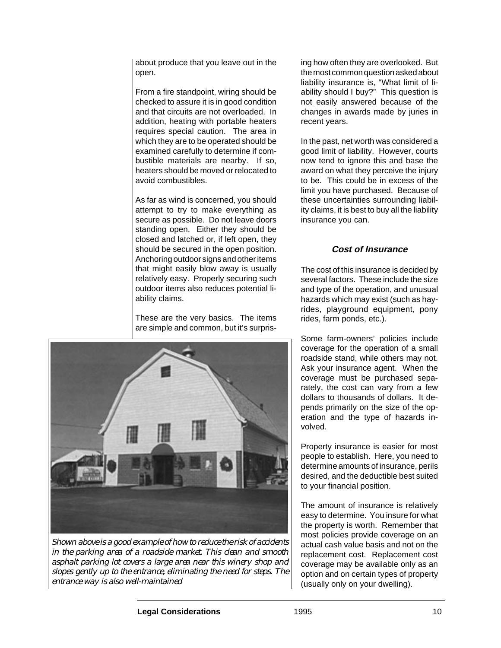about produce that you leave out in the open.

From a fire standpoint, wiring should be checked to assure it is in good condition and that circuits are not overloaded. In addition, heating with portable heaters requires special caution. The area in which they are to be operated should be examined carefully to determine if combustible materials are nearby. If so, heaters should be moved or relocated to avoid combustibles.

As far as wind is concerned, you should attempt to try to make everything as secure as possible. Do not leave doors standing open. Either they should be closed and latched or, if left open, they should be secured in the open position. Anchoring outdoor signs and other items that might easily blow away is usually relatively easy. Properly securing such outdoor items also reduces potential liability claims.

These are the very basics. The items are simple and common, but it's surpris-



*Shown above is a good example of how to reduce the risk of accidents in the parking area of a roadside market. This clean and smooth asphalt parking lot covers a large area near this winery shop and slopes gently up to the entrance, eliminating the need for steps. The entrance way is also well-maintained*

ing how often they are overlooked. But the most common question asked about liability insurance is, "What limit of liability should I buy?" This question is not easily answered because of the changes in awards made by juries in recent years.

In the past, net worth was considered a good limit of liability. However, courts now tend to ignore this and base the award on what they perceive the injury to be. This could be in excess of the limit you have purchased. Because of these uncertainties surrounding liability claims, it is best to buy all the liability insurance you can.

### **Cost of Insurance**

The cost of this insurance is decided by several factors. These include the size and type of the operation, and unusual hazards which may exist (such as hayrides, playground equipment, pony rides, farm ponds, etc.).

Some farm-owners' policies include coverage for the operation of a small roadside stand, while others may not. Ask your insurance agent. When the coverage must be purchased separately, the cost can vary from a few dollars to thousands of dollars. It depends primarily on the size of the operation and the type of hazards involved.

Property insurance is easier for most people to establish. Here, you need to determine amounts of insurance, perils desired, and the deductible best suited to your financial position.

The amount of insurance is relatively easy to determine. You insure for what the property is worth. Remember that most policies provide coverage on an actual cash value basis and not on the replacement cost. Replacement cost coverage may be available only as an option and on certain types of property (usually only on your dwelling).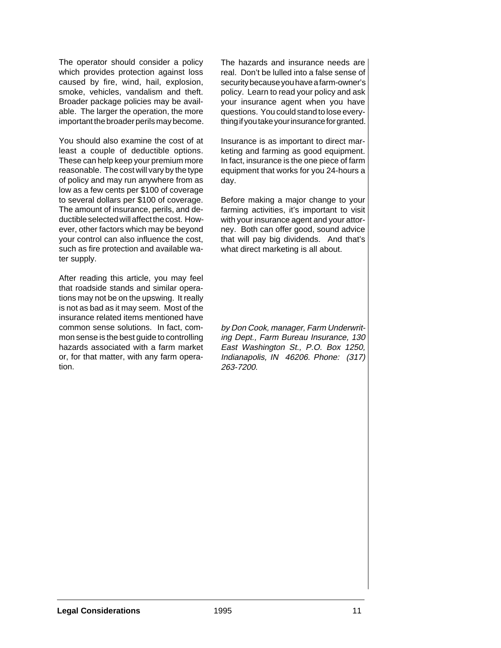The operator should consider a policy which provides protection against loss caused by fire, wind, hail, explosion, smoke, vehicles, vandalism and theft. Broader package policies may be available. The larger the operation, the more important the broader perils may become.

You should also examine the cost of at least a couple of deductible options. These can help keep your premium more reasonable. The cost will vary by the type of policy and may run anywhere from as low as a few cents per \$100 of coverage to several dollars per \$100 of coverage. The amount of insurance, perils, and deductible selected will affect the cost. However, other factors which may be beyond your control can also influence the cost, such as fire protection and available water supply.

After reading this article, you may feel that roadside stands and similar operations may not be on the upswing. It really is not as bad as it may seem. Most of the insurance related items mentioned have common sense solutions. In fact, common sense is the best guide to controlling hazards associated with a farm market or, for that matter, with any farm operation.

The hazards and insurance needs are real. Don't be lulled into a false sense of security because you have a farm-owner's policy. Learn to read your policy and ask your insurance agent when you have questions. You could stand to lose everything if you take your insurance for granted.

Insurance is as important to direct marketing and farming as good equipment. In fact, insurance is the one piece of farm equipment that works for you 24-hours a day.

Before making a major change to your farming activities, it's important to visit with your insurance agent and your attorney. Both can offer good, sound advice that will pay big dividends. And that's what direct marketing is all about.

by Don Cook, manager, Farm Underwriting Dept., Farm Bureau Insurance, 130 East Washington St., P.O. Box 1250, Indianapolis, IN 46206. Phone: (317) 263-7200.